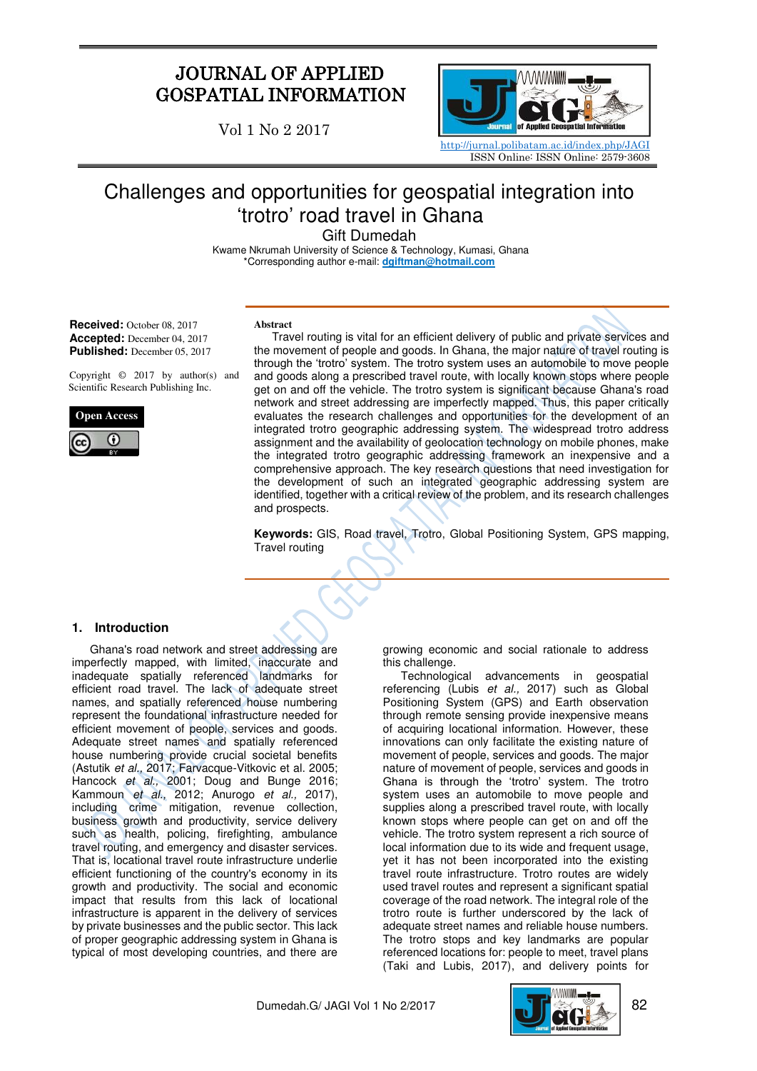# JOURNAL OF APPLIED GOSPATIAL INFORMATION

Vol 1 No 2 2017



# Challenges and opportunities for geospatial integration into 'trotro' road travel in Ghana

Gift Dumedah

 Kwame Nkrumah University of Science & Technology, Kumasi, Ghana \*Corresponding author e-mail: **dgiftman@hotmail.com** 

**Received:** October 08, 2017 **Accepted:** December 04, 2017 **Published:** December 05, 2017

Copyright © 2017 by author(s) and Scientific Research Publishing Inc.



#### **Abstract**

Travel routing is vital for an efficient delivery of public and private services and the movement of people and goods. In Ghana, the major nature of travel routing is through the 'trotro' system. The trotro system uses an automobile to move people and goods along a prescribed travel route, with locally known stops where people get on and off the vehicle. The trotro system is significant because Ghana's road network and street addressing are imperfectly mapped. Thus, this paper critically evaluates the research challenges and opportunities for the development of an integrated trotro geographic addressing system. The widespread trotro address assignment and the availability of geolocation technology on mobile phones, make the integrated trotro geographic addressing framework an inexpensive and a comprehensive approach. The key research questions that need investigation for the development of such an integrated geographic addressing system are identified, together with a critical review of the problem, and its research challenges and prospects.

**Keywords:** GIS, Road travel, Trotro, Global Positioning System, GPS mapping, Travel routing

# **1. Introduction**

Ghana's road network and street addressing are imperfectly mapped, with limited, inaccurate and inadequate spatially referenced landmarks for efficient road travel. The lack of adequate street names, and spatially referenced house numbering represent the foundational infrastructure needed for efficient movement of people, services and goods. Adequate street names and spatially referenced house numbering provide crucial societal benefits (Astutik et al., 2017; Farvacque-Vitkovic et al. 2005; Hancock et al., 2001; Doug and Bunge 2016; Kammoun et al., 2012; Anurogo et al., 2017), including crime mitigation, revenue collection, business growth and productivity, service delivery such as health, policing, firefighting, ambulance travel routing, and emergency and disaster services. That is, locational travel route infrastructure underlie efficient functioning of the country's economy in its growth and productivity. The social and economic impact that results from this lack of locational infrastructure is apparent in the delivery of services by private businesses and the public sector. This lack of proper geographic addressing system in Ghana is typical of most developing countries, and there are

growing economic and social rationale to address this challenge.

Technological advancements in geospatial referencing (Lubis et al., 2017) such as Global Positioning System (GPS) and Earth observation through remote sensing provide inexpensive means of acquiring locational information. However, these innovations can only facilitate the existing nature of movement of people, services and goods. The major nature of movement of people, services and goods in Ghana is through the 'trotro' system. The trotro system uses an automobile to move people and supplies along a prescribed travel route, with locally known stops where people can get on and off the vehicle. The trotro system represent a rich source of local information due to its wide and frequent usage, yet it has not been incorporated into the existing travel route infrastructure. Trotro routes are widely used travel routes and represent a significant spatial coverage of the road network. The integral role of the trotro route is further underscored by the lack of adequate street names and reliable house numbers. The trotro stops and key landmarks are popular referenced locations for: people to meet, travel plans (Taki and Lubis, 2017), and delivery points for

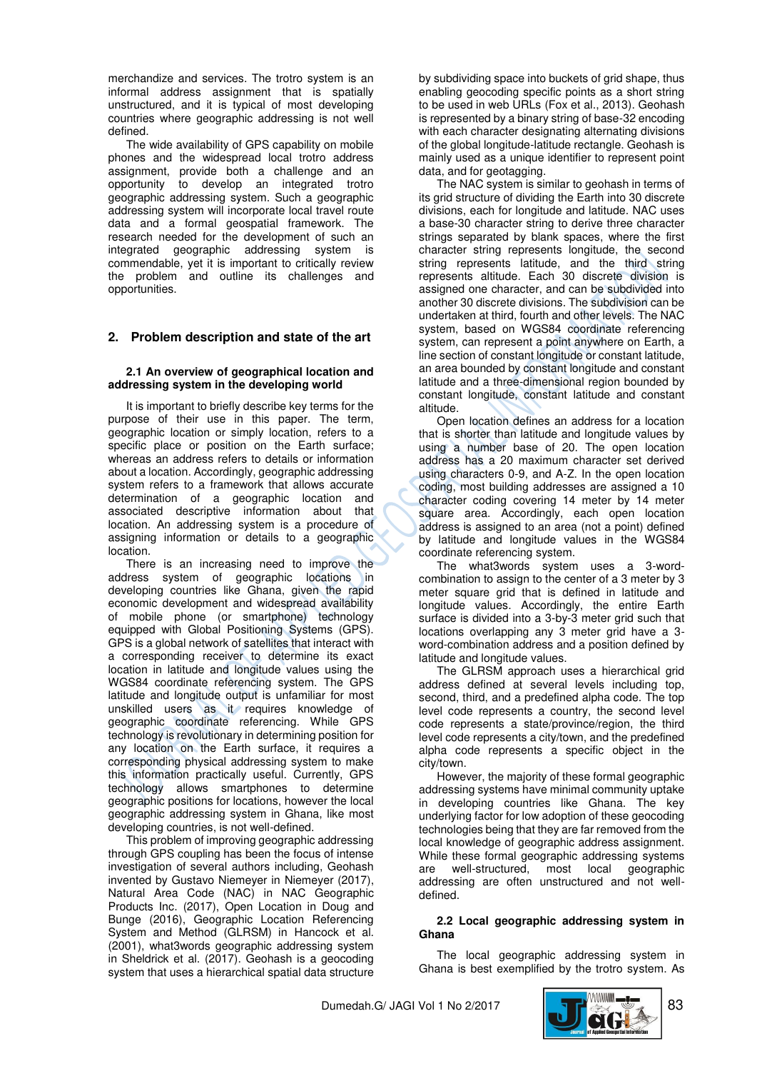merchandize and services. The trotro system is an informal address assignment that is spatially unstructured, and it is typical of most developing countries where geographic addressing is not well defined.

The wide availability of GPS capability on mobile phones and the widespread local trotro address assignment, provide both a challenge and an opportunity to develop an integrated trotro geographic addressing system. Such a geographic addressing system will incorporate local travel route data and a formal geospatial framework. The research needed for the development of such an integrated geographic addressing system is commendable, yet it is important to critically review the problem and outline its challenges and opportunities.

# **2. Problem description and state of the art**

### **2.1 An overview of geographical location and addressing system in the developing world**

It is important to briefly describe key terms for the purpose of their use in this paper. The term, geographic location or simply location, refers to a specific place or position on the Earth surface; whereas an address refers to details or information about a location. Accordingly, geographic addressing system refers to a framework that allows accurate determination of a geographic location and associated descriptive information about that location. An addressing system is a procedure of assigning information or details to a geographic location.

There is an increasing need to improve the address system of geographic locations in developing countries like Ghana, given the rapid economic development and widespread availability of mobile phone (or smartphone) technology equipped with Global Positioning Systems (GPS). GPS is a global network of satellites that interact with a corresponding receiver to determine its exact location in latitude and longitude values using the WGS84 coordinate referencing system. The GPS latitude and longitude output is unfamiliar for most unskilled users as it requires knowledge of geographic coordinate referencing. While GPS technology is revolutionary in determining position for any location on the Earth surface, it requires a corresponding physical addressing system to make this information practically useful. Currently, GPS technology allows smartphones to determine geographic positions for locations, however the local geographic addressing system in Ghana, like most developing countries, is not well-defined.

This problem of improving geographic addressing through GPS coupling has been the focus of intense investigation of several authors including, Geohash invented by Gustavo Niemeyer in Niemeyer (2017), Natural Area Code (NAC) in NAC Geographic Products Inc. (2017), Open Location in Doug and Bunge (2016), Geographic Location Referencing System and Method (GLRSM) in Hancock et al. (2001), what3words geographic addressing system in Sheldrick et al. (2017). Geohash is a geocoding system that uses a hierarchical spatial data structure by subdividing space into buckets of grid shape, thus enabling geocoding specific points as a short string to be used in web URLs (Fox et al., 2013). Geohash is represented by a binary string of base-32 encoding with each character designating alternating divisions of the global longitude-latitude rectangle. Geohash is mainly used as a unique identifier to represent point data, and for geotagging.

The NAC system is similar to geohash in terms of its grid structure of dividing the Earth into 30 discrete divisions, each for longitude and latitude. NAC uses a base-30 character string to derive three character strings separated by blank spaces, where the first character string represents longitude, the second string represents latitude, and the third string represents altitude. Each 30 discrete division is assigned one character, and can be subdivided into another 30 discrete divisions. The subdivision can be undertaken at third, fourth and other levels. The NAC system, based on WGS84 coordinate referencing system, can represent a point anywhere on Earth, a line section of constant longitude or constant latitude, an area bounded by constant longitude and constant latitude and a three-dimensional region bounded by constant longitude, constant latitude and constant altitude.

Open location defines an address for a location that is shorter than latitude and longitude values by using a number base of 20. The open location address has a 20 maximum character set derived using characters 0-9, and A-Z. In the open location coding, most building addresses are assigned a 10 character coding covering 14 meter by 14 meter square area. Accordingly, each open location address is assigned to an area (not a point) defined by latitude and longitude values in the WGS84 coordinate referencing system.

The what3words system uses a 3-wordcombination to assign to the center of a 3 meter by 3 meter square grid that is defined in latitude and longitude values. Accordingly, the entire Earth surface is divided into a 3-by-3 meter grid such that locations overlapping any 3 meter grid have a 3 word-combination address and a position defined by latitude and longitude values.

The GLRSM approach uses a hierarchical grid address defined at several levels including top, second, third, and a predefined alpha code. The top level code represents a country, the second level code represents a state/province/region, the third level code represents a city/town, and the predefined alpha code represents a specific object in the city/town.

However, the majority of these formal geographic addressing systems have minimal community uptake in developing countries like Ghana. The key underlying factor for low adoption of these geocoding technologies being that they are far removed from the local knowledge of geographic address assignment. While these formal geographic addressing systems are well-structured, most local geographic addressing are often unstructured and not welldefined.

# **2.2 Local geographic addressing system in Ghana**

The local geographic addressing system in Ghana is best exemplified by the trotro system. As

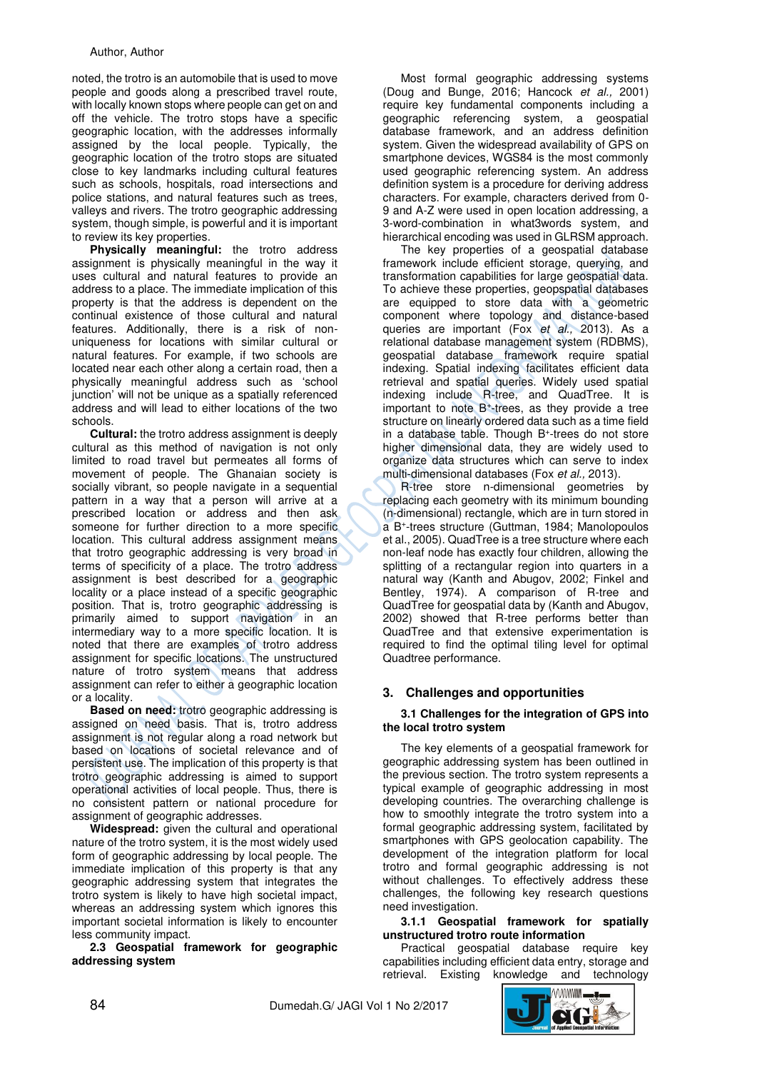noted, the trotro is an automobile that is used to move people and goods along a prescribed travel route, with locally known stops where people can get on and off the vehicle. The trotro stops have a specific geographic location, with the addresses informally assigned by the local people. Typically, the geographic location of the trotro stops are situated close to key landmarks including cultural features such as schools, hospitals, road intersections and police stations, and natural features such as trees, valleys and rivers. The trotro geographic addressing system, though simple, is powerful and it is important to review its key properties.

**Physically meaningful:** the trotro address assignment is physically meaningful in the way it uses cultural and natural features to provide an address to a place. The immediate implication of this property is that the address is dependent on the continual existence of those cultural and natural features. Additionally, there is a risk of nonuniqueness for locations with similar cultural or natural features. For example, if two schools are located near each other along a certain road, then a physically meaningful address such as 'school junction' will not be unique as a spatially referenced address and will lead to either locations of the two schools.

**Cultural:** the trotro address assignment is deeply cultural as this method of navigation is not only limited to road travel but permeates all forms of movement of people. The Ghanaian society is socially vibrant, so people navigate in a sequential pattern in a way that a person will arrive at a prescribed location or address and then ask someone for further direction to a more specific location. This cultural address assignment means that trotro geographic addressing is very broad in terms of specificity of a place. The trotro address assignment is best described for a geographic locality or a place instead of a specific geographic position. That is, trotro geographic addressing is primarily aimed to support navigation in an intermediary way to a more specific location. It is noted that there are examples of trotro address assignment for specific locations. The unstructured nature of trotro system means that address assignment can refer to either a geographic location or a locality.

**Based on need:** trotro geographic addressing is assigned on need basis. That is, trotro address assignment is not regular along a road network but based on locations of societal relevance and of persistent use. The implication of this property is that trotro geographic addressing is aimed to support operational activities of local people. Thus, there is no consistent pattern or national procedure for assignment of geographic addresses.

**Widespread:** given the cultural and operational nature of the trotro system, it is the most widely used form of geographic addressing by local people. The immediate implication of this property is that any geographic addressing system that integrates the trotro system is likely to have high societal impact, whereas an addressing system which ignores this important societal information is likely to encounter less community impact.

**2.3 Geospatial framework for geographic addressing system** 

Most formal geographic addressing systems (Doug and Bunge, 2016; Hancock et al., 2001) require key fundamental components including a geographic referencing system, a geospatial database framework, and an address definition system. Given the widespread availability of GPS on smartphone devices, WGS84 is the most commonly used geographic referencing system. An address definition system is a procedure for deriving address characters. For example, characters derived from 0- 9 and A-Z were used in open location addressing, a 3-word-combination in what3words system, and hierarchical encoding was used in GLRSM approach.

The key properties of a geospatial database framework include efficient storage, querying, and transformation capabilities for large geospatial data. To achieve these properties, geopspatial databases are equipped to store data with a geometric component where topology and distance-based queries are important (Fox et al., 2013). As a relational database management system (RDBMS), geospatial database framework require spatial indexing. Spatial indexing facilitates efficient data retrieval and spatial queries. Widely used spatial indexing include R-tree, and QuadTree. It is important to note B<sup>+</sup> -trees, as they provide a tree structure on linearly ordered data such as a time field in a database table. Though B<sup>+</sup>-trees do not store higher dimensional data, they are widely used to organize data structures which can serve to index multi-dimensional databases (Fox et al., 2013).

R-tree store n-dimensional geometries by replacing each geometry with its minimum bounding (n-dimensional) rectangle, which are in turn stored in a B<sup>+</sup> -trees structure (Guttman, 1984; Manolopoulos et al., 2005). QuadTree is a tree structure where each non-leaf node has exactly four children, allowing the splitting of a rectangular region into quarters in a natural way (Kanth and Abugov, 2002; Finkel and Bentley, 1974). A comparison of R-tree and QuadTree for geospatial data by (Kanth and Abugov, 2002) showed that R-tree performs better than QuadTree and that extensive experimentation is required to find the optimal tiling level for optimal Quadtree performance.

# **3. Challenges and opportunities**

### **3.1 Challenges for the integration of GPS into the local trotro system**

The key elements of a geospatial framework for geographic addressing system has been outlined in the previous section. The trotro system represents a typical example of geographic addressing in most developing countries. The overarching challenge is how to smoothly integrate the trotro system into a formal geographic addressing system, facilitated by smartphones with GPS geolocation capability. The development of the integration platform for local trotro and formal geographic addressing is not without challenges. To effectively address these challenges, the following key research questions need investigation.

# **3.1.1 Geospatial framework for spatially unstructured trotro route information**

Practical geospatial database require key capabilities including efficient data entry, storage and retrieval. Existing knowledge and technology

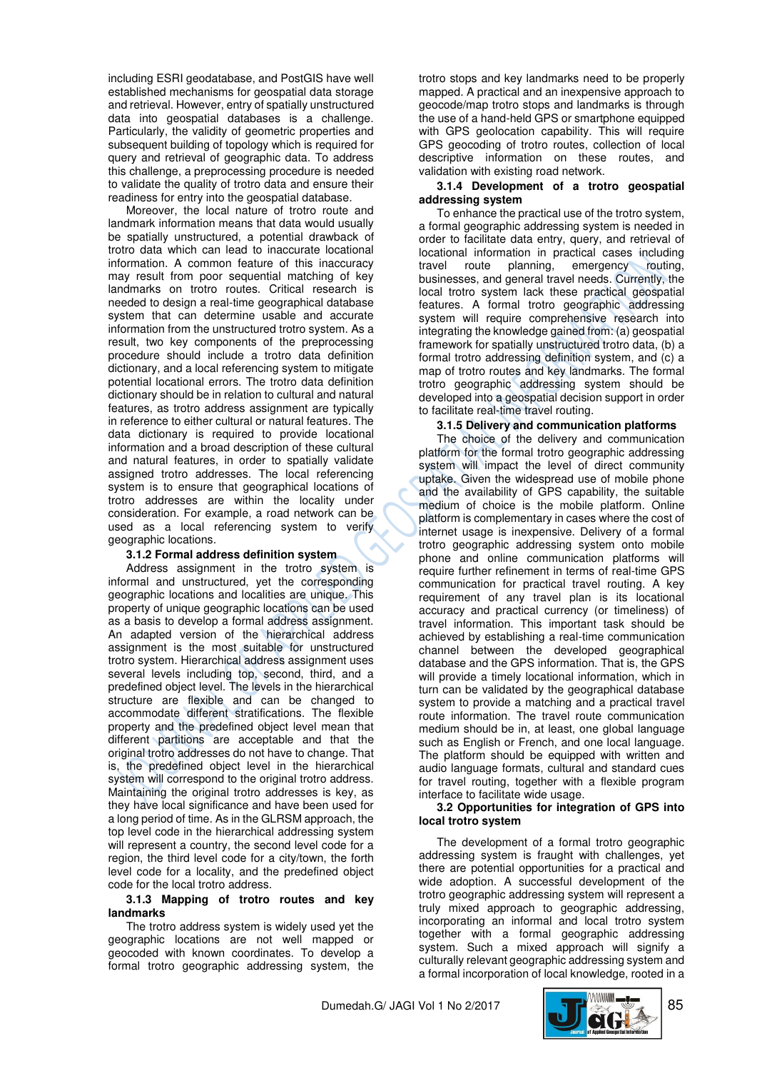including ESRI geodatabase, and PostGIS have well established mechanisms for geospatial data storage and retrieval. However, entry of spatially unstructured data into geospatial databases is a challenge. Particularly, the validity of geometric properties and subsequent building of topology which is required for query and retrieval of geographic data. To address this challenge, a preprocessing procedure is needed to validate the quality of trotro data and ensure their readiness for entry into the geospatial database.

Moreover, the local nature of trotro route and landmark information means that data would usually be spatially unstructured, a potential drawback of trotro data which can lead to inaccurate locational information. A common feature of this inaccuracy may result from poor sequential matching of key landmarks on trotro routes. Critical research is needed to design a real-time geographical database system that can determine usable and accurate information from the unstructured trotro system. As a result, two key components of the preprocessing procedure should include a trotro data definition dictionary, and a local referencing system to mitigate potential locational errors. The trotro data definition dictionary should be in relation to cultural and natural features, as trotro address assignment are typically in reference to either cultural or natural features. The data dictionary is required to provide locational information and a broad description of these cultural and natural features, in order to spatially validate assigned trotro addresses. The local referencing system is to ensure that geographical locations of trotro addresses are within the locality under consideration. For example, a road network can be used as a local referencing system to verify geographic locations.

#### **3.1.2 Formal address definition system**

Address assignment in the trotro system is informal and unstructured, yet the corresponding geographic locations and localities are unique. This property of unique geographic locations can be used as a basis to develop a formal address assignment. An adapted version of the hierarchical address assignment is the most suitable for unstructured trotro system. Hierarchical address assignment uses several levels including top, second, third, and a predefined object level. The levels in the hierarchical structure are flexible and can be changed to accommodate different stratifications. The flexible property and the predefined object level mean that different partitions are acceptable and that the original trotro addresses do not have to change. That is, the predefined object level in the hierarchical system will correspond to the original trotro address. Maintaining the original trotro addresses is key, as they have local significance and have been used for a long period of time. As in the GLRSM approach, the top level code in the hierarchical addressing system will represent a country, the second level code for a region, the third level code for a city/town, the forth level code for a locality, and the predefined object code for the local trotro address.

#### **3.1.3 Mapping of trotro routes and key landmarks**

The trotro address system is widely used yet the geographic locations are not well mapped or geocoded with known coordinates. To develop a formal trotro geographic addressing system, the trotro stops and key landmarks need to be properly mapped. A practical and an inexpensive approach to geocode/map trotro stops and landmarks is through the use of a hand-held GPS or smartphone equipped with GPS geolocation capability. This will require GPS geocoding of trotro routes, collection of local descriptive information on these routes, and validation with existing road network.

### **3.1.4 Development of a trotro geospatial addressing system**

To enhance the practical use of the trotro system, a formal geographic addressing system is needed in order to facilitate data entry, query, and retrieval of locational information in practical cases including travel route planning, emergency routing, businesses, and general travel needs. Currently, the local trotro system lack these practical geospatial features. A formal trotro geographic addressing system will require comprehensive research into integrating the knowledge gained from: (a) geospatial framework for spatially unstructured trotro data, (b) a formal trotro addressing definition system, and (c) a map of trotro routes and key landmarks. The formal trotro geographic addressing system should be developed into a geospatial decision support in order to facilitate real-time travel routing.

# **3.1.5 Delivery and communication platforms**

The choice of the delivery and communication platform for the formal trotro geographic addressing system will impact the level of direct community uptake. Given the widespread use of mobile phone and the availability of GPS capability, the suitable medium of choice is the mobile platform. Online platform is complementary in cases where the cost of internet usage is inexpensive. Delivery of a formal trotro geographic addressing system onto mobile phone and online communication platforms will require further refinement in terms of real-time GPS communication for practical travel routing. A key requirement of any travel plan is its locational accuracy and practical currency (or timeliness) of travel information. This important task should be achieved by establishing a real-time communication channel between the developed geographical database and the GPS information. That is, the GPS will provide a timely locational information, which in turn can be validated by the geographical database system to provide a matching and a practical travel route information. The travel route communication medium should be in, at least, one global language such as English or French, and one local language. The platform should be equipped with written and audio language formats, cultural and standard cues for travel routing, together with a flexible program interface to facilitate wide usage.

#### **3.2 Opportunities for integration of GPS into local trotro system**

The development of a formal trotro geographic addressing system is fraught with challenges, yet there are potential opportunities for a practical and wide adoption. A successful development of the trotro geographic addressing system will represent a truly mixed approach to geographic addressing, incorporating an informal and local trotro system together with a formal geographic addressing system. Such a mixed approach will signify a culturally relevant geographic addressing system and a formal incorporation of local knowledge, rooted in a

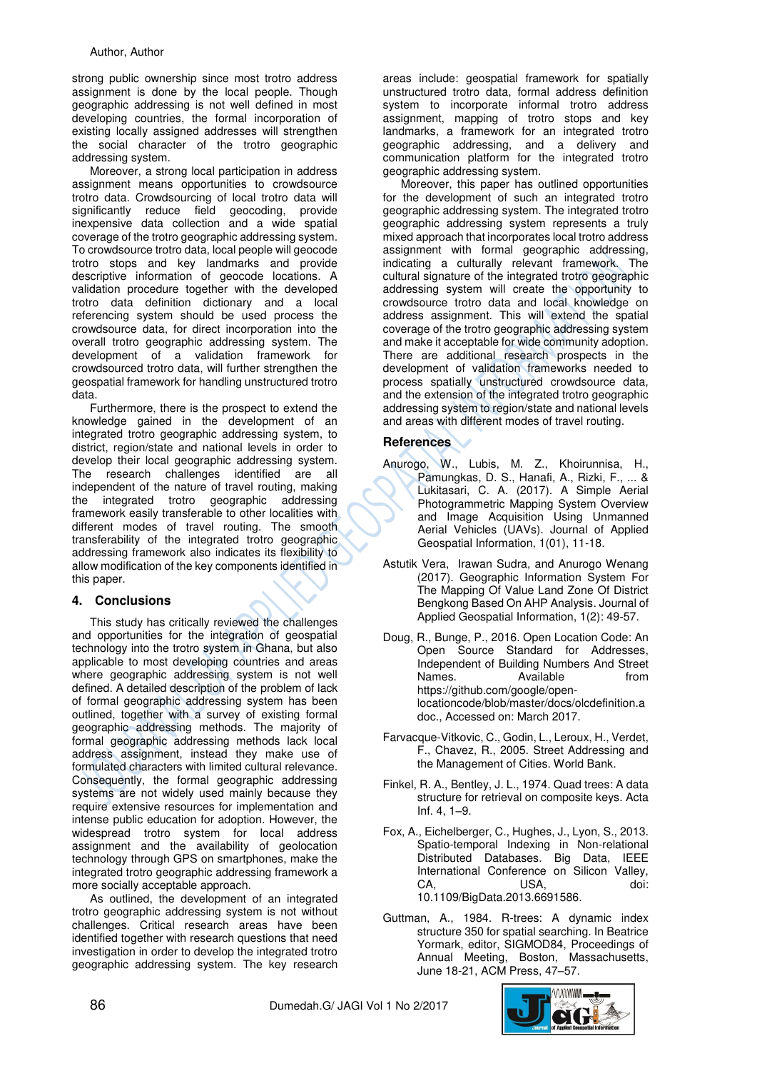strong public ownership since most trotro address assignment is done by the local people. Though geographic addressing is not well defined in most developing countries, the formal incorporation of existing locally assigned addresses will strengthen the social character of the trotro geographic addressing system.

Moreover, a strong local participation in address assignment means opportunities to crowdsource trotro data. Crowdsourcing of local trotro data will significantly reduce field geocoding, provide inexpensive data collection and a wide spatial coverage of the trotro geographic addressing system. To crowdsource trotro data, local people will geocode trotro stops and key landmarks and provide descriptive information of geocode locations. A validation procedure together with the developed trotro data definition dictionary and a local referencing system should be used process the crowdsource data, for direct incorporation into the overall trotro geographic addressing system. The development of a validation framework for crowdsourced trotro data, will further strengthen the geospatial framework for handling unstructured trotro data.

Furthermore, there is the prospect to extend the knowledge gained in the development of an integrated trotro geographic addressing system, to district, region/state and national levels in order to develop their local geographic addressing system. The research challenges identified are all independent of the nature of travel routing, making the integrated trotro geographic addressing framework easily transferable to other localities with different modes of travel routing. The smooth transferability of the integrated trotro geographic addressing framework also indicates its flexibility to allow modification of the key components identified in this paper.

# **4. Conclusions**

This study has critically reviewed the challenges and opportunities for the integration of geospatial technology into the trotro system in Ghana, but also applicable to most developing countries and areas where geographic addressing system is not well defined. A detailed description of the problem of lack of formal geographic addressing system has been outlined, together with a survey of existing formal geographic addressing methods. The majority of formal geographic addressing methods lack local address assignment, instead they make use of formulated characters with limited cultural relevance. Consequently, the formal geographic addressing systems are not widely used mainly because they require extensive resources for implementation and intense public education for adoption. However, the widespread trotro system for local address assignment and the availability of geolocation technology through GPS on smartphones, make the integrated trotro geographic addressing framework a more socially acceptable approach.

As outlined, the development of an integrated trotro geographic addressing system is not without challenges. Critical research areas have been identified together with research questions that need investigation in order to develop the integrated trotro geographic addressing system. The key research

areas include: geospatial framework for spatially unstructured trotro data, formal address definition system to incorporate informal trotro address assignment, mapping of trotro stops and key landmarks, a framework for an integrated trotro geographic addressing, and a delivery and communication platform for the integrated trotro geographic addressing system.

Moreover, this paper has outlined opportunities for the development of such an integrated trotro geographic addressing system. The integrated trotro geographic addressing system represents a truly mixed approach that incorporates local trotro address assignment with formal geographic addressing, indicating a culturally relevant framework. The cultural signature of the integrated trotro geographic addressing system will create the opportunity to crowdsource trotro data and local knowledge on address assignment. This will extend the spatial coverage of the trotro geographic addressing system and make it acceptable for wide community adoption. There are additional research prospects in the development of validation frameworks needed to process spatially unstructured crowdsource data, and the extension of the integrated trotro geographic addressing system to region/state and national levels and areas with different modes of travel routing.

# **References**

- Anurogo, W., Lubis, M. Z., Khoirunnisa, H., Pamungkas, D. S., Hanafi, A., Rizki, F., ... & Lukitasari, C. A. (2017). A Simple Aerial Photogrammetric Mapping System Overview and Image Acquisition Using Unmanned Aerial Vehicles (UAVs). Journal of Applied Geospatial Information, 1(01), 11-18.
- Astutik Vera, Irawan Sudra, and Anurogo Wenang (2017). Geographic Information System For The Mapping Of Value Land Zone Of District Bengkong Based On AHP Analysis. Journal of Applied Geospatial Information, 1(2): 49-57.
- Doug, R., Bunge, P., 2016. Open Location Code: An Open Source Standard for Addresses, Independent of Building Numbers And Street Names. Available **havailable** from https://github.com/google/openlocationcode/blob/master/docs/olcdefinition.a doc., Accessed on: March 2017.
- Farvacque-Vitkovic, C., Godin, L., Leroux, H., Verdet, F., Chavez, R., 2005. Street Addressing and the Management of Cities. World Bank.
- Finkel, R. A., Bentley, J. L., 1974. Quad trees: A data structure for retrieval on composite keys. Acta Inf. 4, 1–9.
- Fox, A., Eichelberger, C., Hughes, J., Lyon, S., 2013. Spatio-temporal Indexing in Non-relational Distributed Databases. Big Data, IEEE International Conference on Silicon Valley, CA, USA, doi: 10.1109/BigData.2013.6691586.
- Guttman, A., 1984. R-trees: A dynamic index structure 350 for spatial searching. In Beatrice Yormark, editor, SIGMOD84, Proceedings of Annual Meeting, Boston, Massachusetts, June 18-21, ACM Press, 47–57.